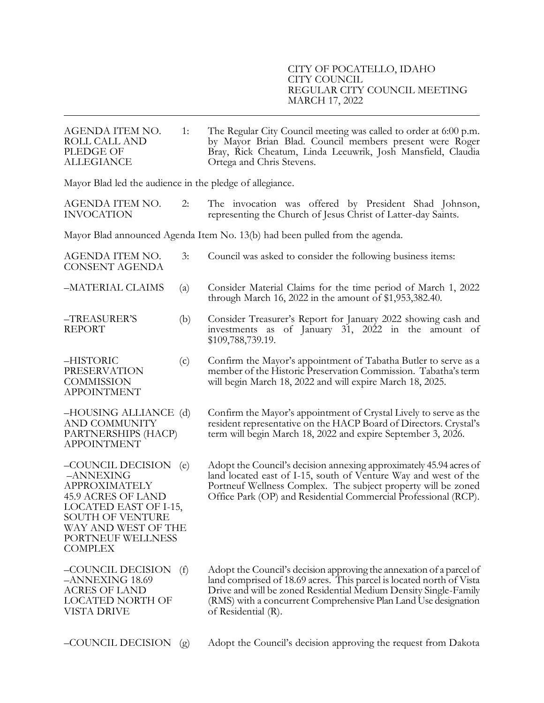| AGENDA ITEM NO.<br>ROLL CALL AND<br><b>PLEDGE OF</b><br><b>ALLEGIANCE</b>                                                                                                                             | 1:  | The Regular City Council meeting was called to order at 6:00 p.m.<br>by Mayor Brian Blad. Council members present were Roger<br>Bray, Rick Cheatum, Linda Leeuwrik, Josh Mansfield, Claudia<br>Ortega and Chris Stevens.                                                                                   |  |
|-------------------------------------------------------------------------------------------------------------------------------------------------------------------------------------------------------|-----|------------------------------------------------------------------------------------------------------------------------------------------------------------------------------------------------------------------------------------------------------------------------------------------------------------|--|
| Mayor Blad led the audience in the pledge of allegiance.                                                                                                                                              |     |                                                                                                                                                                                                                                                                                                            |  |
| AGENDA ITEM NO.<br><b>INVOCATION</b>                                                                                                                                                                  | 2:  | The invocation was offered by President Shad Johnson,<br>representing the Church of Jesus Christ of Latter-day Saints.                                                                                                                                                                                     |  |
|                                                                                                                                                                                                       |     | Mayor Blad announced Agenda Item No. 13(b) had been pulled from the agenda.                                                                                                                                                                                                                                |  |
| AGENDA ITEM NO.<br><b>CONSENT AGENDA</b>                                                                                                                                                              | 3:  | Council was asked to consider the following business items:                                                                                                                                                                                                                                                |  |
| -MATERIAL CLAIMS                                                                                                                                                                                      | (a) | Consider Material Claims for the time period of March 1, 2022<br>through March 16, 2022 in the amount of \$1,953,382.40.                                                                                                                                                                                   |  |
| -TREASURER'S<br><b>REPORT</b>                                                                                                                                                                         | (b) | Consider Treasurer's Report for January 2022 showing cash and<br>investments as of January 31, 2022 in the amount of<br>\$109,788,739.19.                                                                                                                                                                  |  |
| -HISTORIC<br><b>PRESERVATION</b><br><b>COMMISSION</b><br><b>APPOINTMENT</b>                                                                                                                           | (c) | Confirm the Mayor's appointment of Tabatha Butler to serve as a<br>member of the Historic Preservation Commission. Tabatha's term<br>will begin March 18, 2022 and will expire March 18, 2025.                                                                                                             |  |
| -HOUSING ALLIANCE (d)<br><b>AND COMMUNITY</b><br>PARTNERSHIPS (HACP)<br><b>APPOINTMENT</b>                                                                                                            |     | Confirm the Mayor's appointment of Crystal Lively to serve as the<br>resident representative on the HACP Board of Directors. Crystal's<br>term will begin March 18, 2022 and expire September 3, 2026.                                                                                                     |  |
| -COUNCIL DECISION<br>-ANNEXING<br><b>APPROXIMATELY</b><br><b>45.9 ACRES OF LAND</b><br>LOCATED EAST OF I-15,<br><b>SOUTH OF VENTURE</b><br>WAY AND WEST OF THE<br>PORTNEUF WELLNESS<br><b>COMPLEX</b> | (e) | Adopt the Council's decision annexing approximately 45.94 acres of<br>land located east of I-15, south of Venture Way and west of the<br>Portneuf Wellness Complex. The subject property will be zoned<br>Office Park (OP) and Residential Commercial Professional (RCP).                                  |  |
| –COUNCIL DECISION<br>-ANNEXING 18.69<br><b>ACRES OF LAND</b><br>LOCATED NORTH OF<br>VISTA DRIVE                                                                                                       | (f) | Adopt the Council's decision approving the annexation of a parcel of<br>land comprised of 18.69 acres. This parcel is located north of Vista<br>Drive and will be zoned Residential Medium Density Single-Family<br>(RMS) with a concurrent Comprehensive Plan Land Use designation<br>of Residential (R). |  |
|                                                                                                                                                                                                       |     |                                                                                                                                                                                                                                                                                                            |  |

–COUNCIL DECISION (g) Adopt the Council's decision approving the request from Dakota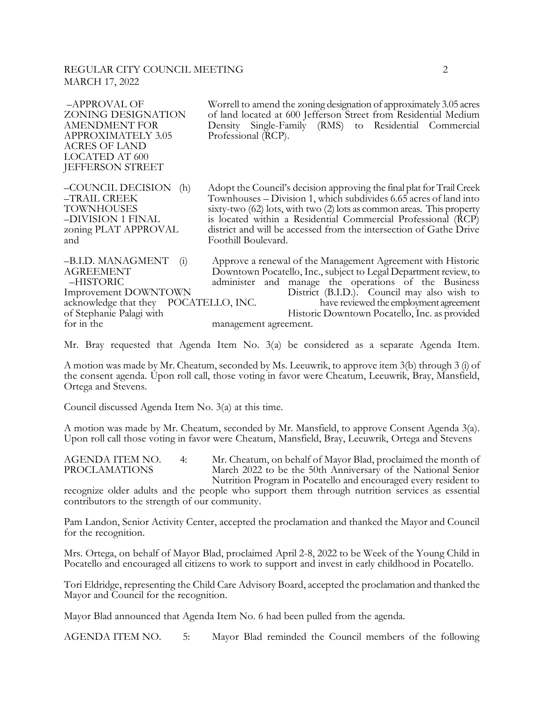# REGULAR CITY COUNCIL MEETING 2 MARCH 17, 2022

| Worrell to amend the zoning designation of approximately 3.05 acres<br>of land located at 600 Jefferson Street from Residential Medium<br>Density Single-Family (RMS) to Residential Commercial<br>Professional (RCP).                                                                                                                                                                |
|---------------------------------------------------------------------------------------------------------------------------------------------------------------------------------------------------------------------------------------------------------------------------------------------------------------------------------------------------------------------------------------|
| Adopt the Council's decision approving the final plat for Trail Creek<br>Townhouses – Division 1, which subdivides 6.65 acres of land into<br>sixty-two $(62)$ lots, with two $(2)$ lots as common areas. This property<br>is located within a Residential Commercial Professional (RCP)<br>district and will be accessed from the intersection of Gathe Drive<br>Foothill Boulevard. |
| Approve a renewal of the Management Agreement with Historic<br>Downtown Pocatello, Inc., subject to Legal Department review, to<br>administer and manage the operations of the Business<br>District (B.I.D.). Council may also wish to<br>POCATELLO, INC.<br>have reviewed the employment agreement<br>Historic Downtown Pocatello, Inc. as provided                                  |
|                                                                                                                                                                                                                                                                                                                                                                                       |

for in the management agreement.

Mr. Bray requested that Agenda Item No. 3(a) be considered as a separate Agenda Item.

A motion was made by Mr. Cheatum, seconded by Ms. Leeuwrik, to approve item 3(b) through 3 (i) of the consent agenda. Upon roll call, those voting in favor were Cheatum, Leeuwrik, Bray, Mansfield, Ortega and Stevens.

Council discussed Agenda Item No. 3(a) at this time.

A motion was made by Mr. Cheatum, seconded by Mr. Mansfield, to approve Consent Agenda 3(a). Upon roll call those voting in favor were Cheatum, Mansfield, Bray, Leeuwrik, Ortega and Stevens

AGENDA ITEM NO. 4: Mr. Cheatum, on behalf of Mayor Blad, proclaimed the month of PROCLAMATIONS March 2022 to be the 50th Anniversary of the National Senior March 2022 to be the 50th Anniversary of the National Senior Nutrition Program in Pocatello and encouraged every resident to

recognize older adults and the people who support them through nutrition services as essential contributors to the strength of our community.

Pam Landon, Senior Activity Center, accepted the proclamation and thanked the Mayor and Council for the recognition.

Mrs. Ortega, on behalf of Mayor Blad, proclaimed April 2-8, 2022 to be Week of the Young Child in Pocatello and encouraged all citizens to work to support and invest in early childhood in Pocatello.

Tori Eldridge, representing the Child Care Advisory Board, accepted the proclamation and thanked the Mayor and Council for the recognition.

Mayor Blad announced that Agenda Item No. 6 had been pulled from the agenda.

AGENDA ITEM NO. 5: Mayor Blad reminded the Council members of the following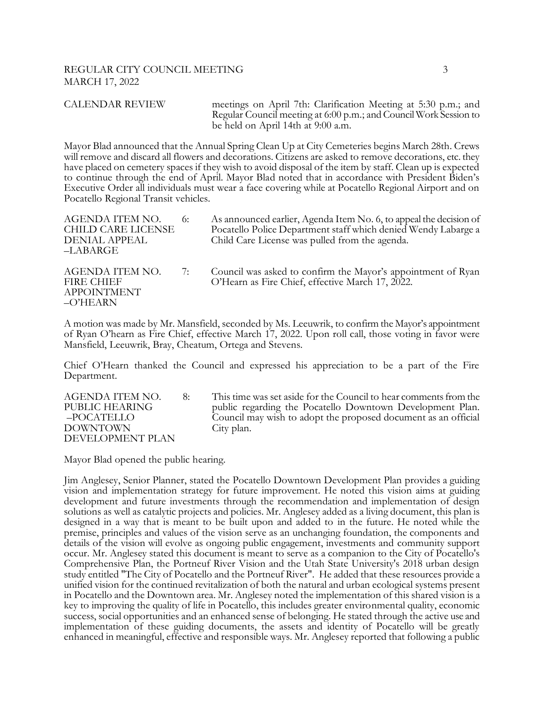#### REGULAR CITY COUNCIL MEETING 3 MARCH 17, 2022

CALENDAR REVIEW meetings on April 7th: Clarification Meeting at 5:30 p.m.; and Regular Council meeting at 6:00 p.m.; and Council Work Session to be held on April 14th at 9:00 a.m.

Mayor Blad announced that the Annual Spring Clean Up at City Cemeteries begins March 28th. Crews will remove and discard all flowers and decorations. Citizens are asked to remove decorations, etc. they have placed on cemetery spaces if they wish to avoid disposal of the item by staff. Clean up is expected to continue through the end of April. Mayor Blad noted that in accordance with President Biden's Executive Order all individuals must wear a face covering while at Pocatello Regional Airport and on Pocatello Regional Transit vehicles.

| AGENDA ITEM NO.<br>CHILD CARE LICENSE<br>DENIAL APPEAL<br>–LABARGE     | 6: | As announced earlier, Agenda Item No. 6, to appeal the decision of<br>Pocatello Police Department staff which denied Wendy Labarge a<br>Child Care License was pulled from the agenda. |
|------------------------------------------------------------------------|----|----------------------------------------------------------------------------------------------------------------------------------------------------------------------------------------|
| AGENDA ITEM NO.<br><b>FIRE CHIEF</b><br><b>APPOINTMENT</b><br>–O'HEARN | 7: | Council was asked to confirm the Mayor's appointment of Ryan<br>O'Hearn as Fire Chief, effective March 17, 2022.                                                                       |

A motion was made by Mr. Mansfield, seconded by Ms. Leeuwrik, to confirm the Mayor's appointment of Ryan O'hearn as Fire Chief, effective March 17, 2022. Upon roll call, those voting in favor were Mansfield, Leeuwrik, Bray, Cheatum, Ortega and Stevens.

Chief O'Hearn thanked the Council and expressed his appreciation to be a part of the Fire Department.

DOWNTOWN City plan. DEVELOPMENT PLAN

AGENDA ITEM NO. 8: This time was set aside for the Council to hear comments from the PUBLIC HEARING public regarding the Pocatello Downtown Development Plan. –POCATELLO Council may wish to adopt the proposed document as an official

Mayor Blad opened the public hearing.

Jim Anglesey, Senior Planner, stated the Pocatello Downtown Development Plan provides a guiding vision and implementation strategy for future improvement. He noted this vision aims at guiding development and future investments through the recommendation and implementation of design solutions as well as catalytic projects and policies. Mr. Anglesey added as a living document, this plan is designed in a way that is meant to be built upon and added to in the future. He noted while the premise, principles and values of the vision serve as an unchanging foundation, the components and details of the vision will evolve as ongoing public engagement, investments and community support occur. Mr. Anglesey stated this document is meant to serve as a companion to the City of Pocatello's Comprehensive Plan, the Portneuf River Vision and the Utah State University's 2018 urban design study entitled "The City of Pocatello and the Portneuf River". He added that these resources provide a unified vision for the continued revitalization of both the natural and urban ecological systems present in Pocatello and the Downtown area. Mr. Anglesey noted the implementation of this shared vision is a key to improving the quality of life in Pocatello, this includes greater environmental quality, economic success, social opportunities and an enhanced sense of belonging. He stated through the active use and implementation of these guiding documents, the assets and identity of Pocatello will be greatly enhanced in meaningful, effective and responsible ways. Mr. Anglesey reported that following a public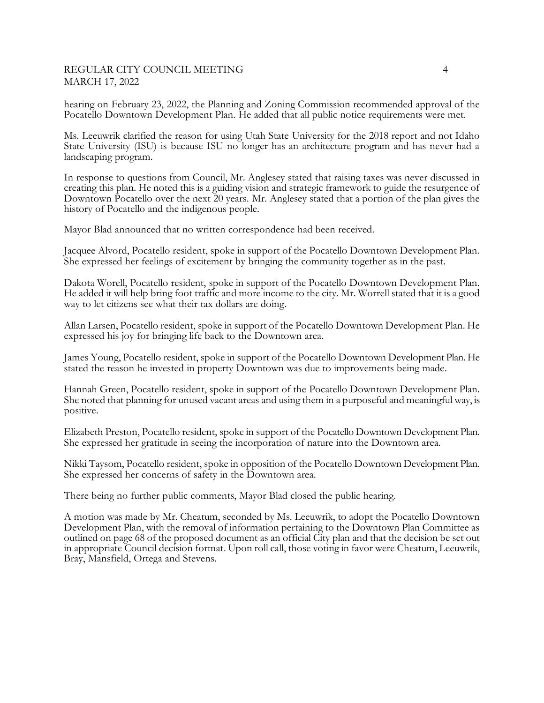### REGULAR CITY COUNCIL MEETING 4 MARCH 17, 2022

hearing on February 23, 2022, the Planning and Zoning Commission recommended approval of the Pocatello Downtown Development Plan. He added that all public notice requirements were met.

Ms. Leeuwrik clarified the reason for using Utah State University for the 2018 report and not Idaho State University (ISU) is because ISU no longer has an architecture program and has never had a landscaping program.

In response to questions from Council, Mr. Anglesey stated that raising taxes was never discussed in creating this plan. He noted this is a guiding vision and strategic framework to guide the resurgence of Downtown Pocatello over the next 20 years. Mr. Anglesey stated that a portion of the plan gives the history of Pocatello and the indigenous people.

Mayor Blad announced that no written correspondence had been received.

Jacquee Alvord, Pocatello resident, spoke in support of the Pocatello Downtown Development Plan. She expressed her feelings of excitement by bringing the community together as in the past.

Dakota Worell, Pocatello resident, spoke in support of the Pocatello Downtown Development Plan. He added it will help bring foot traffic and more income to the city. Mr. Worrell stated that it is a good way to let citizens see what their tax dollars are doing.

Allan Larsen, Pocatello resident, spoke in support of the Pocatello Downtown Development Plan. He expressed his joy for bringing life back to the Downtown area.

James Young, Pocatello resident, spoke in support of the Pocatello Downtown Development Plan. He stated the reason he invested in property Downtown was due to improvements being made.

Hannah Green, Pocatello resident, spoke in support of the Pocatello Downtown Development Plan. She noted that planning for unused vacant areas and using them in a purposeful and meaningful way, is positive.

Elizabeth Preston, Pocatello resident, spoke in support of the Pocatello Downtown Development Plan. She expressed her gratitude in seeing the incorporation of nature into the Downtown area.

Nikki Taysom, Pocatello resident, spoke in opposition of the Pocatello Downtown Development Plan. She expressed her concerns of safety in the Downtown area.

There being no further public comments, Mayor Blad closed the public hearing.

A motion was made by Mr. Cheatum, seconded by Ms. Leeuwrik, to adopt the Pocatello Downtown Development Plan, with the removal of information pertaining to the Downtown Plan Committee as outlined on page 68 of the proposed document as an official City plan and that the decision be set out in appropriate Council decision format. Upon roll call, those voting in favor were Cheatum, Leeuwrik, Bray, Mansfield, Ortega and Stevens.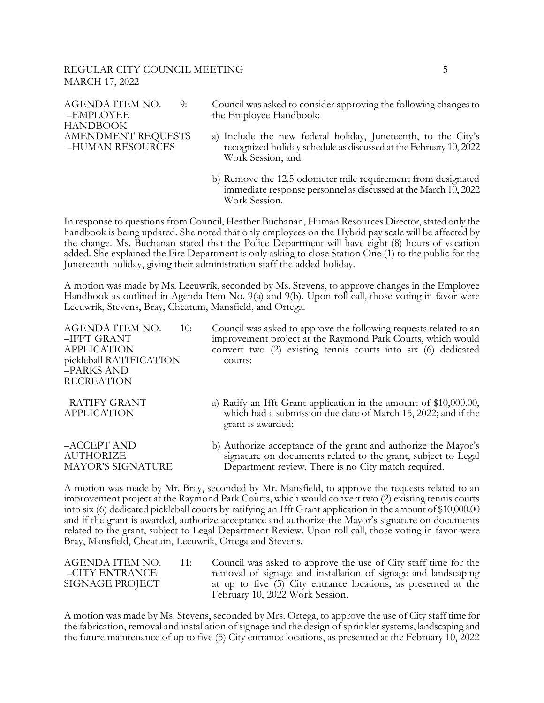#### REGULAR CITY COUNCIL MEETING 5 MARCH 17, 2022

| AGENDA ITEM NO.<br>9:<br>-EMPLOYEE<br><b>HANDBOOK</b> | Council was asked to consider approving the following changes to<br>the Employee Handbook:                                                              |
|-------------------------------------------------------|---------------------------------------------------------------------------------------------------------------------------------------------------------|
| <b>AMENDMENT REQUESTS</b><br>-HUMAN RESOURCES         | a) Include the new federal holiday, Juneteenth, to the City's<br>recognized holiday schedule as discussed at the February 10, 2022<br>Work Session; and |
|                                                       | b) Remove the 12.5 odometer mile requirement from designated<br>immediate response personnel as discussed at the March 10, 2022                         |

In response to questions from Council, Heather Buchanan, Human Resources Director, stated only the handbook is being updated. She noted that only employees on the Hybrid pay scale will be affected by the change. Ms. Buchanan stated that the Police Department will have eight (8) hours of vacation added. She explained the Fire Department is only asking to close Station One (1) to the public for the Juneteenth holiday, giving their administration staff the added holiday.

Work Session.

A motion was made by Ms. Leeuwrik, seconded by Ms. Stevens, to approve changes in the Employee Handbook as outlined in Agenda Item No. 9(a) and 9(b). Upon roll call, those voting in favor were Leeuwrik, Stevens, Bray, Cheatum, Mansfield, and Ortega.

| AGENDA ITEM NO.<br>10:<br>–IFFT GRANT<br>APPLICATION<br>pickleball RATIFICATION<br>-PARKS AND<br><b>RECREATION</b> | Council was asked to approve the following requests related to an<br>improvement project at the Raymond Park Courts, which would<br>convert two (2) existing tennis courts into six (6) dedicated<br>courts: |
|--------------------------------------------------------------------------------------------------------------------|--------------------------------------------------------------------------------------------------------------------------------------------------------------------------------------------------------------|
| –RATIFY GRANT<br>APPLICATION                                                                                       | a) Ratify an Ifft Grant application in the amount of \$10,000.00,<br>which had a submission due date of March 15, 2022; and if the<br>grant is awarded;                                                      |
| -ACCEPT AND<br>AUTHORIZE<br>MAYOR'S SIGNATURE                                                                      | b) Authorize acceptance of the grant and authorize the Mayor's<br>signature on documents related to the grant, subject to Legal<br>Department review. There is no City match required.                       |

A motion was made by Mr. Bray, seconded by Mr. Mansfield, to approve the requests related to an improvement project at the Raymond Park Courts, which would convert two (2) existing tennis courts into six (6) dedicated pickleball courts by ratifying an Ifft Grant application in the amount of \$10,000.00 and if the grant is awarded, authorize acceptance and authorize the Mayor's signature on documents related to the grant, subject to Legal Department Review. Upon roll call, those voting in favor were Bray, Mansfield, Cheatum, Leeuwrik, Ortega and Stevens.

| AGENDA ITEM NO. | 11: | Council was asked to approve the use of City staff time for the |
|-----------------|-----|-----------------------------------------------------------------|
| –CITY ENTRANCE  |     | removal of signage and installation of signage and landscaping  |
| SIGNAGE PROJECT |     | at up to five (5) City entrance locations, as presented at the  |
|                 |     | February 10, 2022 Work Session.                                 |

A motion was made by Ms. Stevens, seconded by Mrs. Ortega, to approve the use of City staff time for the fabrication, removal and installation of signage and the design of sprinkler systems, landscaping and the future maintenance of up to five (5) City entrance locations, as presented at the February 10, 2022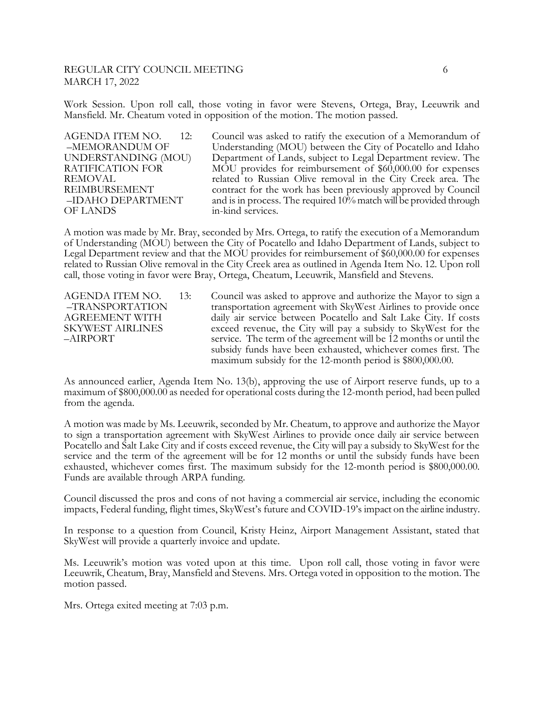### REGULAR CITY COUNCIL MEETING 6 MARCH 17, 2022

Work Session. Upon roll call, those voting in favor were Stevens, Ortega, Bray, Leeuwrik and Mansfield. Mr. Cheatum voted in opposition of the motion. The motion passed.

OF LANDS in-kind services.

AGENDA ITEM NO. 12: Council was asked to ratify the execution of a Memorandum of –MEMORANDUM OF Understanding (MOU) between the City of Pocatello and Idaho UNDERSTANDING (MOU) Department of Lands, subject to Legal Department review. The RATIFICATION FOR MOU provides for reimbursement of \$60,000.00 for expenses MOU provides for reimbursement of \$60,000.00 for expenses REMOVAL related to Russian Olive removal in the City Creek area. The REIMBURSEMENT contract for the work has been previously approved by Council –IDAHO DEPARTMENT and is in process. The required 10% match will be provided through

A motion was made by Mr. Bray, seconded by Mrs. Ortega, to ratify the execution of a Memorandum of Understanding (MOU) between the City of Pocatello and Idaho Department of Lands, subject to Legal Department review and that the MOU provides for reimbursement of \$60,000.00 for expenses related to Russian Olive removal in the City Creek area as outlined in Agenda Item No. 12. Upon roll call, those voting in favor were Bray, Ortega, Cheatum, Leeuwrik, Mansfield and Stevens.

AGENDA ITEM NO. 13: Council was asked to approve and authorize the Mayor to sign a –TRANSPORTATION transportation agreement with SkyWest Airlines to provide once AGREEMENT WITH daily air service between Pocatello and Salt Lake City. If costs SKYWEST AIRLINES exceed revenue, the City will pay a subsidy to SkyWest for the –AIRPORT service. The term of the agreement will be 12 months or until the subsidy funds have been exhausted, whichever comes first. The maximum subsidy for the 12-month period is \$800,000.00.

As announced earlier, Agenda Item No. 13(b), approving the use of Airport reserve funds, up to a maximum of \$800,000.00 as needed for operational costs during the 12-month period, had been pulled from the agenda.

A motion was made by Ms. Leeuwrik, seconded by Mr. Cheatum, to approve and authorize the Mayor to sign a transportation agreement with SkyWest Airlines to provide once daily air service between Pocatello and Salt Lake City and if costs exceed revenue, the City will pay a subsidy to SkyWest for the service and the term of the agreement will be for 12 months or until the subsidy funds have been exhausted, whichever comes first. The maximum subsidy for the 12-month period is \$800,000.00. Funds are available through ARPA funding.

Council discussed the pros and cons of not having a commercial air service, including the economic impacts, Federal funding, flight times, SkyWest's future and COVID-19's impact on the airline industry.

In response to a question from Council, Kristy Heinz, Airport Management Assistant, stated that SkyWest will provide a quarterly invoice and update.

Ms. Leeuwrik's motion was voted upon at this time. Upon roll call, those voting in favor were Leeuwrik, Cheatum, Bray, Mansfield and Stevens. Mrs. Ortega voted in opposition to the motion. The motion passed.

Mrs. Ortega exited meeting at 7:03 p.m.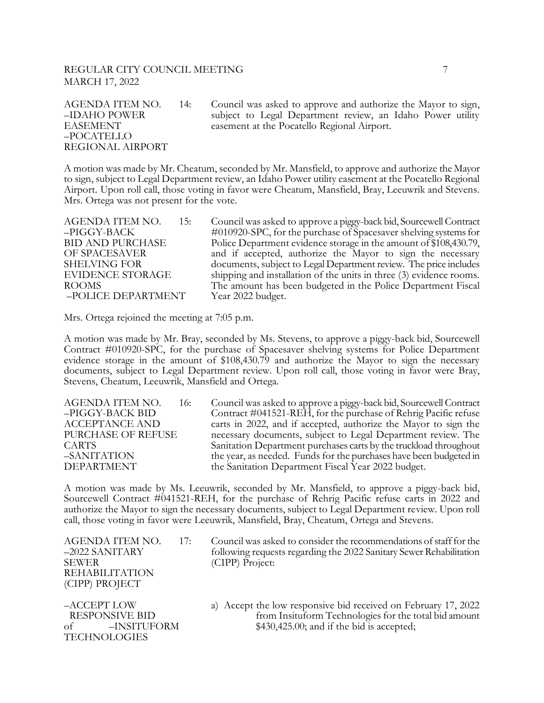# REGULAR CITY COUNCIL MEETING **7** MARCH 17, 2022

–POCATELLO REGIONAL AIRPORT

AGENDA ITEM NO. 14: Council was asked to approve and authorize the Mayor to sign, –IDAHO POWER subject to Legal Department review, an Idaho Power utility EASEMENT easement at the Pocatello Regional Airport.

A motion was made by Mr. Cheatum, seconded by Mr. Mansfield, to approve and authorize the Mayor to sign, subject to Legal Department review, an Idaho Power utility easement at the Pocatello Regional Airport. Upon roll call, those voting in favor were Cheatum, Mansfield, Bray, Leeuwrik and Stevens. Mrs. Ortega was not present for the vote.

–POLICE DEPARTMENT Year 2022 budget.

AGENDA ITEM NO. 15: Council was asked to approve a piggy-back bid, Sourcewell Contract –PIGGY-BACK #010920-SPC, for the purchase of Spacesaver shelving systems for BID AND PURCHASE Police Department evidence storage in the amount of \$108,430.79, OF SPACESAVER and if accepted, authorize the Mayor to sign the necessary SHELVING FOR documents, subject to Legal Department review. The price includes EVIDENCE STORAGE shipping and installation of the units in three (3) evidence rooms. ROOMS The amount has been budgeted in the Police Department Fiscal

Mrs. Ortega rejoined the meeting at 7:05 p.m.

A motion was made by Mr. Bray, seconded by Ms. Stevens, to approve a piggy-back bid, Sourcewell Contract #010920-SPC, for the purchase of Spacesaver shelving systems for Police Department evidence storage in the amount of \$108,430.79 and authorize the Mayor to sign the necessary documents, subject to Legal Department review. Upon roll call, those voting in favor were Bray, Stevens, Cheatum, Leeuwrik, Mansfield and Ortega.

| AGENDA ITEM NO.<br>16: | Council was asked to approve a piggy-back bid, Sourcewell Contract |
|------------------------|--------------------------------------------------------------------|
| -PIGGY-BACK BID        | Contract #041521-REH, for the purchase of Rehrig Pacific refuse    |
| <b>ACCEPTANCE AND</b>  | carts in 2022, and if accepted, authorize the Mayor to sign the    |
| PURCHASE OF REFUSE     | necessary documents, subject to Legal Department review. The       |
| CARTS.                 | Sanitation Department purchases carts by the truckload throughout  |
| –SANITATION            | the year, as needed. Funds for the purchases have been budgeted in |
| <b>DEPARTMENT</b>      | the Sanitation Department Fiscal Year 2022 budget.                 |

A motion was made by Ms. Leeuwrik, seconded by Mr. Mansfield, to approve a piggy-back bid, Sourcewell Contract #041521-REH, for the purchase of Rehrig Pacific refuse carts in 2022 and authorize the Mayor to sign the necessary documents, subject to Legal Department review. Upon roll call, those voting in favor were Leeuwrik, Mansfield, Bray, Cheatum, Ortega and Stevens.

AGENDA ITEM NO. 17: Council was asked to consider the recommendations of staff for the  $-2022$  SANITARY following requests regarding the 2022 Sanitary Sewer Rehabilitation SEWER (CIPP) Project: REHABILITATION (CIPP) PROJECT

TECHNOLOGIES

- following requests regarding the 2022 Sanitary Sewer Rehabilitation
- –ACCEPT LOW a) Accept the low responsive bid received on February 17, 2022 RESPONSIVE BID from Insituform Technologies for the total bid amount of –INSITUFORM \$430,425.00; and if the bid is accepted;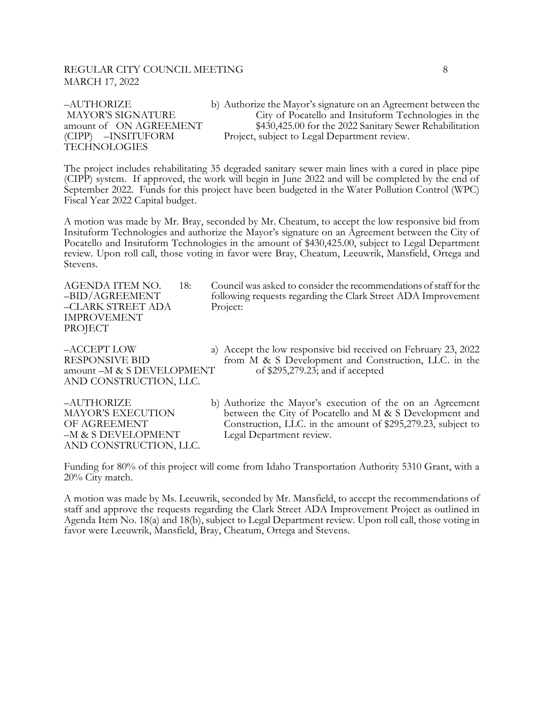#### REGULAR CITY COUNCIL MEETING **8** 8 MARCH 17, 2022

# TECHNOLOGIES

–AUTHORIZE b) Authorize the Mayor's signature on an Agreement between the MAYOR'S SIGNATURE City of Pocatello and Insituform Technologies in the amount of ON AGREEMENT \$430,425.00 for the 2022 Sanitary Sewer Rehabilitation (CIPP) –INSITUFORM Project, subject to Legal Department review.

The project includes rehabilitating 35 degraded sanitary sewer main lines with a cured in place pipe (CIPP) system. If approved, the work will begin in June 2022 and will be completed by the end of September 2022. Funds for this project have been budgeted in the Water Pollution Control (WPC) Fiscal Year 2022 Capital budget.

A motion was made by Mr. Bray, seconded by Mr. Cheatum, to accept the low responsive bid from Insituform Technologies and authorize the Mayor's signature on an Agreement between the City of Pocatello and Insituform Technologies in the amount of \$430,425.00, subject to Legal Department review. Upon roll call, those voting in favor were Bray, Cheatum, Leeuwrik, Mansfield, Ortega and Stevens.

–CLARK STREET ADA Project: IMPROVEMENT PROJECT

AND CONSTRUCTION, LLC.

- AGENDA ITEM NO. 18: Council was asked to consider the recommendations of staff for the –BID/AGREEMENT following requests regarding the Clark Street ADA Improvement
- –ACCEPT LOW a) Accept the low responsive bid received on February 23, 2022 RESPONSIVE BID from M & S Development and Construction, LLC. in the amount –M & S DEVELOPMENT of \$295,279.23; and if accepted

-M & S DEVELOPMENT Legal Department review. AND CONSTRUCTION, LLC.

–AUTHORIZE b) Authorize the Mayor's execution of the on an Agreement MAYOR'S EXECUTION between the City of Pocatello and M & S Development and OF AGREEMENT Construction, LLC. in the amount of \$295,279.23, subject to

Funding for 80% of this project will come from Idaho Transportation Authority 5310 Grant, with a 20% City match.

A motion was made by Ms. Leeuwrik, seconded by Mr. Mansfield, to accept the recommendations of staff and approve the requests regarding the Clark Street ADA Improvement Project as outlined in Agenda Item No. 18(a) and 18(b), subject to Legal Department review. Upon roll call, those voting in favor were Leeuwrik, Mansfield, Bray, Cheatum, Ortega and Stevens.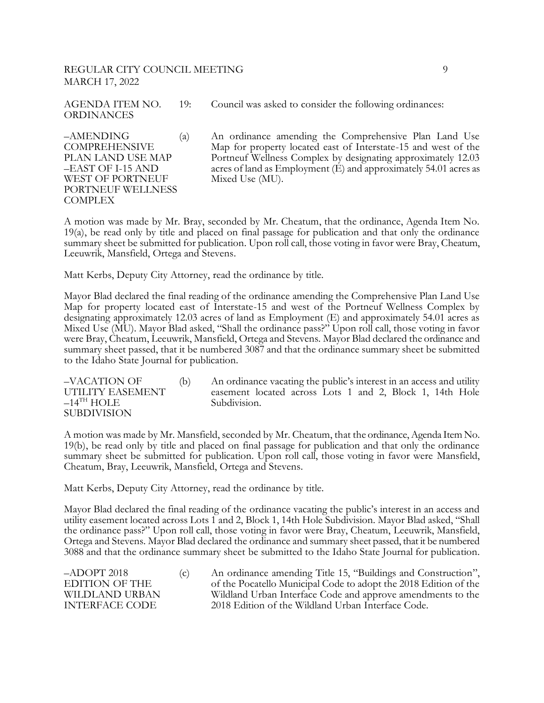# REGULAR CITY COUNCIL MEETING 9 MARCH 17, 2022

AGENDA ITEM NO. 19: Council was asked to consider the following ordinances: ORDINANCES

WEST OF PORTNEUF Mixed Use (MU). PORTNEUF WELLNESS **COMPLEX** 

–AMENDING (a) An ordinance amending the Comprehensive Plan Land Use COMPREHENSIVE Map for property located east of Interstate-15 and west of the PLAN LAND USE MAP Portneuf Wellness Complex by designating approximately 12.03 –EAST OF I-15 AND acres of land as Employment (E) and approximately 54.01 acres as

A motion was made by Mr. Bray, seconded by Mr. Cheatum, that the ordinance, Agenda Item No. 19(a), be read only by title and placed on final passage for publication and that only the ordinance summary sheet be submitted for publication. Upon roll call, those voting in favor were Bray, Cheatum, Leeuwrik, Mansfield, Ortega and Stevens.

Matt Kerbs, Deputy City Attorney, read the ordinance by title.

Mayor Blad declared the final reading of the ordinance amending the Comprehensive Plan Land Use Map for property located east of Interstate-15 and west of the Portneuf Wellness Complex by designating approximately 12.03 acres of land as Employment (E) and approximately 54.01 acres as Mixed Use (MU). Mayor Blad asked, "Shall the ordinance pass?" Upon roll call, those voting in favor were Bray, Cheatum, Leeuwrik, Mansfield, Ortega and Stevens. Mayor Blad declared the ordinance and summary sheet passed, that it be numbered 3087 and that the ordinance summary sheet be submitted to the Idaho State Journal for publication.

–VACATION OF (b) An ordinance vacating the public's interest in an access and utility easement located across Lots 1 and 2, Block 1, 14th Hole  $-14$ <sup>TH</sup> HOLE Subdivision. SUBDIVISION

A motion was made by Mr. Mansfield, seconded by Mr. Cheatum, that the ordinance, Agenda Item No. 19(b), be read only by title and placed on final passage for publication and that only the ordinance summary sheet be submitted for publication. Upon roll call, those voting in favor were Mansfield, Cheatum, Bray, Leeuwrik, Mansfield, Ortega and Stevens.

Matt Kerbs, Deputy City Attorney, read the ordinance by title.

Mayor Blad declared the final reading of the ordinance vacating the public's interest in an access and utility easement located across Lots 1 and 2, Block 1, 14th Hole Subdivision. Mayor Blad asked, "Shall the ordinance pass?" Upon roll call, those voting in favor were Bray, Cheatum, Leeuwrik, Mansfield, Ortega and Stevens. Mayor Blad declared the ordinance and summary sheet passed, that it be numbered 3088 and that the ordinance summary sheet be submitted to the Idaho State Journal for publication.

–ADOPT 2018 (c) An ordinance amending Title 15, "Buildings and Construction", EDITION OF THE of the Pocatello Municipal Code to adopt the 2018 Edition of the WILDLAND URBAN Wildland Urban Interface Code and approve amendments to the INTERFACE CODE 2018 Edition of the Wildland Urban Interface Code.